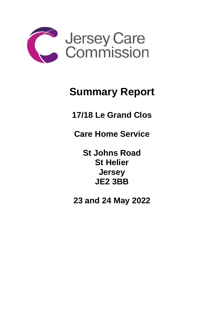

## **Summary Report**

**17/18 Le Grand Clos**

**Care Home Service** 

**St Johns Road St Helier Jersey JE2 3BB**

**23 and 24 May 2022**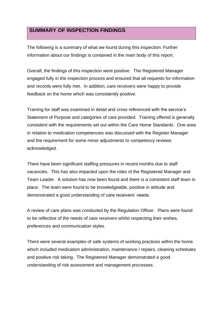## **SUMMARY OF INSPECTION FINDINGS**

The following is a summary of what we found during this inspection. Further information about our findings is contained in the main body of this report.

Overall, the findings of this inspection were positive. The Registered Manager engaged fully in the inspection process and ensured that all requests for information and records were fully met. In addition, care receivers were happy to provide feedback on the home which was consistently positive.

Training for staff was examined in detail and cross referenced with the service's Statement of Purpose and categories of care provided. Training offered is generally consistent with the requirements set out within the Care Home Standards. One area in relation to medication competencies was discussed with the Register Manager and the requirement for some minor adjustments to competency reviews acknowledged.

There have been significant staffing pressures in recent months due to staff vacancies. This has also impacted upon the roles of the Registered Manager and Team Leader. A solution has now been found and there is a consistent staff team in place. The team were found to be knowledgeable, positive in attitude and demonstrated a good understanding of care receivers' needs.

A review of care plans was conducted by the Regulation Officer. Plans were found to be reflective of the needs of care receivers whilst respecting their wishes, preferences and communication styles.

There were several examples of safe systems of working practices within the home which included medication administration, maintenance / repairs, cleaning schedules and positive risk taking. The Registered Manager demonstrated a good understanding of risk assessment and management processes.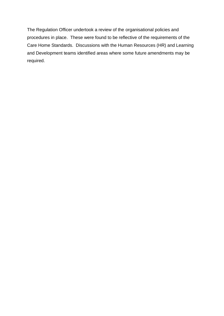The Regulation Officer undertook a review of the organisational policies and procedures in place. These were found to be reflective of the requirements of the Care Home Standards. Discussions with the Human Resources (HR) and Learning and Development teams identified areas where some future amendments may be required.